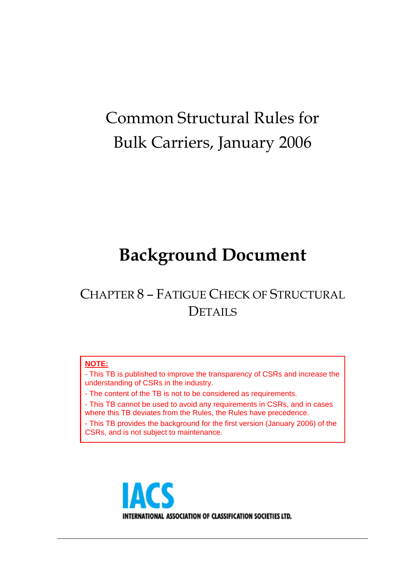# Common Structural Rules for Bulk Carriers, January 2006

# **Background Document**

## CHAPTER 8 – FATIGUE CHECK OF STRUCTURAL **DETAILS**

## **NOTE:**

- This TB is published to improve the transparency of CSRs and increase the understanding of CSRs in the industry.

- The content of the TB is not to be considered as requirements.

- This TB cannot be used to avoid any requirements in CSRs, and in cases where this TB deviates from the Rules, the Rules have precedence.

- This TB provides the background for the first version (January 2006) of the CSRs, and is not subject to maintenance.

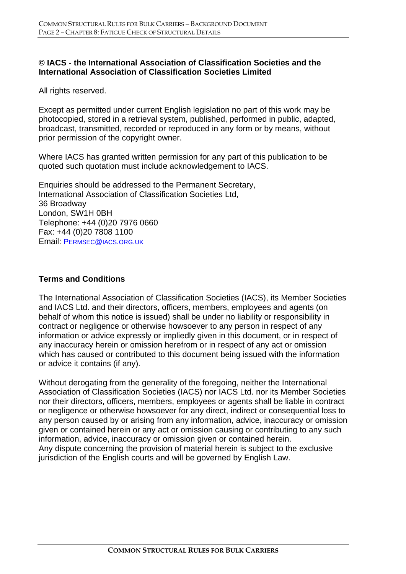## **© IACS - the International Association of Classification Societies and the International Association of Classification Societies Limited**

All rights reserved.

Except as permitted under current English legislation no part of this work may be photocopied, stored in a retrieval system, published, performed in public, adapted, broadcast, transmitted, recorded or reproduced in any form or by means, without prior permission of the copyright owner.

Where IACS has granted written permission for any part of this publication to be quoted such quotation must include acknowledgement to IACS.

Enquiries should be addressed to the Permanent Secretary, International Association of Classification Societies Ltd, 36 Broadway London, SW1H 0BH Telephone: +44 (0)20 7976 0660 Fax: +44 (0)20 7808 1100 Email: PERMSEC@IACS.ORG.UK

#### **Terms and Conditions**

The International Association of Classification Societies (IACS), its Member Societies and IACS Ltd. and their directors, officers, members, employees and agents (on behalf of whom this notice is issued) shall be under no liability or responsibility in contract or negligence or otherwise howsoever to any person in respect of any information or advice expressly or impliedly given in this document, or in respect of any inaccuracy herein or omission herefrom or in respect of any act or omission which has caused or contributed to this document being issued with the information or advice it contains (if any).

Without derogating from the generality of the foregoing, neither the International Association of Classification Societies (IACS) nor IACS Ltd. nor its Member Societies nor their directors, officers, members, employees or agents shall be liable in contract or negligence or otherwise howsoever for any direct, indirect or consequential loss to any person caused by or arising from any information, advice, inaccuracy or omission given or contained herein or any act or omission causing or contributing to any such information, advice, inaccuracy or omission given or contained herein. Any dispute concerning the provision of material herein is subject to the exclusive jurisdiction of the English courts and will be governed by English Law.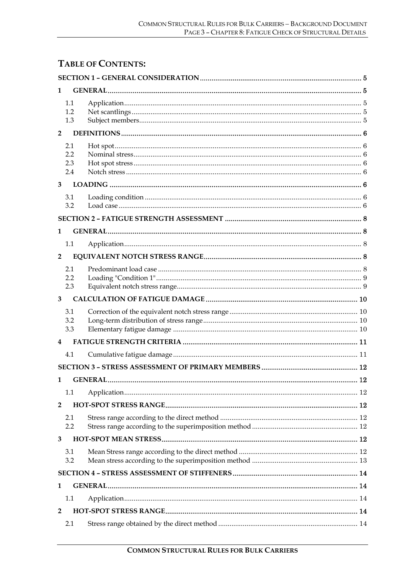## **TABLE OF CONTENTS:**

| 1              |                          |  |  |  |  |  |
|----------------|--------------------------|--|--|--|--|--|
|                | 1.1<br>1.2<br>1.3        |  |  |  |  |  |
| $\overline{2}$ |                          |  |  |  |  |  |
|                | 2.1<br>2.2<br>2.3<br>2.4 |  |  |  |  |  |
| 3              |                          |  |  |  |  |  |
|                | 3.1<br>3.2               |  |  |  |  |  |
|                |                          |  |  |  |  |  |
| 1              |                          |  |  |  |  |  |
|                | 1.1                      |  |  |  |  |  |
| $\overline{2}$ |                          |  |  |  |  |  |
|                | 2.1<br>2.2<br>2.3        |  |  |  |  |  |
| 3              |                          |  |  |  |  |  |
|                | 3.1<br>3.2<br>3.3        |  |  |  |  |  |
| 4              |                          |  |  |  |  |  |
|                | 4.1                      |  |  |  |  |  |
|                |                          |  |  |  |  |  |
| 1              |                          |  |  |  |  |  |
|                | 1.1                      |  |  |  |  |  |
| $\overline{2}$ |                          |  |  |  |  |  |
|                | 2.1<br>2.2               |  |  |  |  |  |
| 3              |                          |  |  |  |  |  |
|                | 3.1<br>3.2               |  |  |  |  |  |
|                |                          |  |  |  |  |  |
| 1              |                          |  |  |  |  |  |
|                | 1.1                      |  |  |  |  |  |
| 2              |                          |  |  |  |  |  |
|                | 2.1                      |  |  |  |  |  |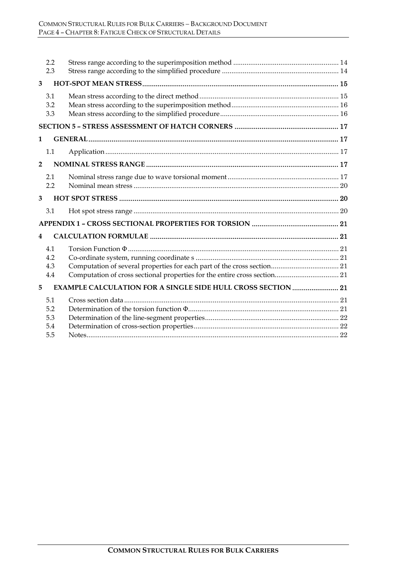|                | 2.2<br>2.3                      |                                                                     |  |  |  |  |
|----------------|---------------------------------|---------------------------------------------------------------------|--|--|--|--|
| 3              |                                 |                                                                     |  |  |  |  |
|                | 3.1<br>3.2<br>3.3               |                                                                     |  |  |  |  |
|                |                                 |                                                                     |  |  |  |  |
| 1              |                                 |                                                                     |  |  |  |  |
|                | 1.1                             |                                                                     |  |  |  |  |
| $\overline{2}$ |                                 |                                                                     |  |  |  |  |
|                | 2.1<br>2.2                      |                                                                     |  |  |  |  |
| 3              |                                 |                                                                     |  |  |  |  |
|                | 3.1                             |                                                                     |  |  |  |  |
|                |                                 |                                                                     |  |  |  |  |
| 4              |                                 |                                                                     |  |  |  |  |
|                | 4.1<br>4.2<br>4.3<br>4.4        |                                                                     |  |  |  |  |
| 5              |                                 | <b>EXAMPLE CALCULATION FOR A SINGLE SIDE HULL CROSS SECTION  21</b> |  |  |  |  |
|                | 5.1<br>5.2<br>5.3<br>5.4<br>5.5 |                                                                     |  |  |  |  |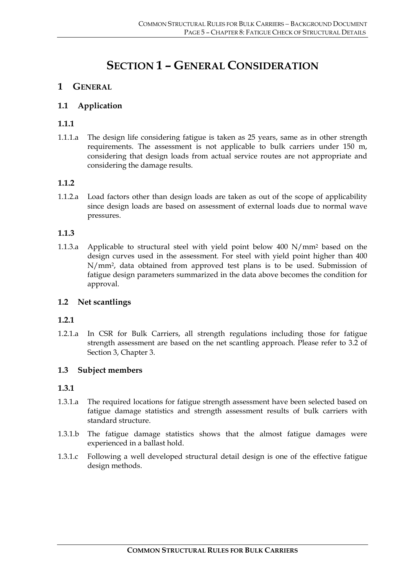## **SECTION 1 – GENERAL CONSIDERATION**

## **1 GENERAL**

## **1.1 Application**

## **1.1.1**

1.1.1.a The design life considering fatigue is taken as 25 years, same as in other strength requirements. The assessment is not applicable to bulk carriers under 150 m, considering that design loads from actual service routes are not appropriate and considering the damage results.

#### **1.1.2**

1.1.2.a Load factors other than design loads are taken as out of the scope of applicability since design loads are based on assessment of external loads due to normal wave pressures.

#### **1.1.3**

1.1.3.a Applicable to structural steel with yield point below 400 N/mm2 based on the design curves used in the assessment. For steel with yield point higher than 400 N/mm2, data obtained from approved test plans is to be used. Submission of fatigue design parameters summarized in the data above becomes the condition for approval.

#### **1.2 Net scantlings**

#### **1.2.1**

1.2.1.a In CSR for Bulk Carriers, all strength regulations including those for fatigue strength assessment are based on the net scantling approach. Please refer to 3.2 of Section 3, Chapter 3.

#### **1.3 Subject members**

#### **1.3.1**

- 1.3.1.a The required locations for fatigue strength assessment have been selected based on fatigue damage statistics and strength assessment results of bulk carriers with standard structure.
- 1.3.1.b The fatigue damage statistics shows that the almost fatigue damages were experienced in a ballast hold.
- 1.3.1.c Following a well developed structural detail design is one of the effective fatigue design methods.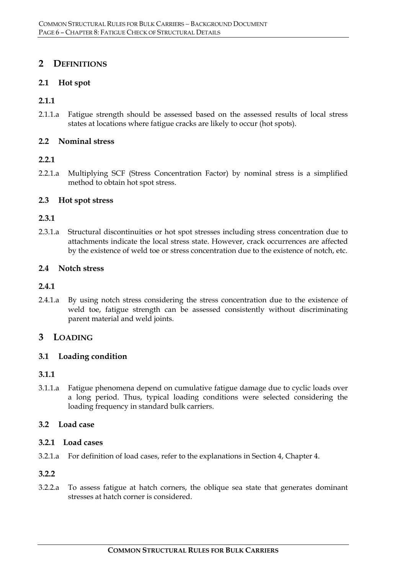## **2 DEFINITIONS**

## **2.1 Hot spot**

## **2.1.1**

2.1.1.a Fatigue strength should be assessed based on the assessed results of local stress states at locations where fatigue cracks are likely to occur (hot spots).

## **2.2 Nominal stress**

## **2.2.1**

2.2.1.a Multiplying SCF (Stress Concentration Factor) by nominal stress is a simplified method to obtain hot spot stress.

## **2.3 Hot spot stress**

#### **2.3.1**

2.3.1.a Structural discontinuities or hot spot stresses including stress concentration due to attachments indicate the local stress state. However, crack occurrences are affected by the existence of weld toe or stress concentration due to the existence of notch, etc.

#### **2.4 Notch stress**

#### **2.4.1**

2.4.1.a By using notch stress considering the stress concentration due to the existence of weld toe, fatigue strength can be assessed consistently without discriminating parent material and weld joints.

## **3 LOADING**

#### **3.1 Loading condition**

## **3.1.1**

3.1.1.a Fatigue phenomena depend on cumulative fatigue damage due to cyclic loads over a long period. Thus, typical loading conditions were selected considering the loading frequency in standard bulk carriers.

## **3.2 Load case**

#### **3.2.1 Load cases**

3.2.1.a For definition of load cases, refer to the explanations in Section 4, Chapter 4.

#### **3.2.2**

3.2.2.a To assess fatigue at hatch corners, the oblique sea state that generates dominant stresses at hatch corner is considered.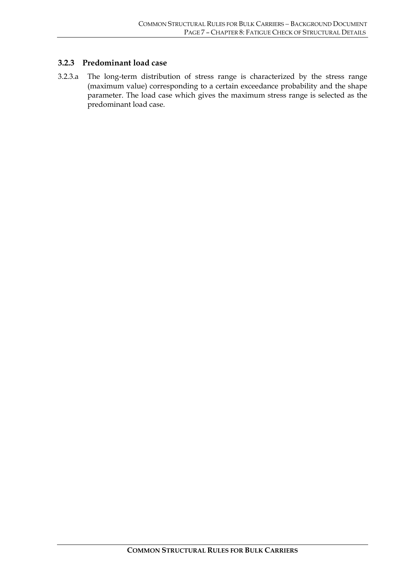#### **3.2.3 Predominant load case**

3.2.3.a The long-term distribution of stress range is characterized by the stress range (maximum value) corresponding to a certain exceedance probability and the shape parameter. The load case which gives the maximum stress range is selected as the predominant load case.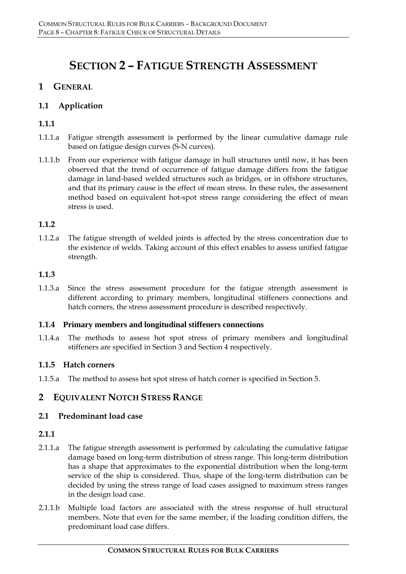## **SECTION 2 – FATIGUE STRENGTH ASSESSMENT**

## **1 GENERAL**

## **1.1 Application**

## **1.1.1**

- 1.1.1.a Fatigue strength assessment is performed by the linear cumulative damage rule based on fatigue design curves (S-N curves).
- 1.1.1.b From our experience with fatigue damage in hull structures until now, it has been observed that the trend of occurrence of fatigue damage differs from the fatigue damage in land-based welded structures such as bridges, or in offshore structures, and that its primary cause is the effect of mean stress. In these rules, the assessment method based on equivalent hot-spot stress range considering the effect of mean stress is used.

## **1.1.2**

1.1.2.a The fatigue strength of welded joints is affected by the stress concentration due to the existence of welds. Taking account of this effect enables to assess unified fatigue strength.

## **1.1.3**

1.1.3.a Since the stress assessment procedure for the fatigue strength assessment is different according to primary members, longitudinal stiffeners connections and hatch corners, the stress assessment procedure is described respectively.

#### **1.1.4 Primary members and longitudinal stiffeners connections**

1.1.4.a The methods to assess hot spot stress of primary members and longitudinal stiffeners are specified in Section 3 and Section 4 respectively.

## **1.1.5 Hatch corners**

1.1.5.a The method to assess hot spot stress of hatch corner is specified in Section 5.

## **2 EQUIVALENT NOTCH STRESS RANGE**

#### **2.1 Predominant load case**

#### **2.1.1**

- 2.1.1.a The fatigue strength assessment is performed by calculating the cumulative fatigue damage based on long-term distribution of stress range. This long-term distribution has a shape that approximates to the exponential distribution when the long-term service of the ship is considered. Thus, shape of the long-term distribution can be decided by using the stress range of load cases assigned to maximum stress ranges in the design load case.
- 2.1.1.b Multiple load factors are associated with the stress response of hull structural members. Note that even for the same member, if the loading condition differs, the predominant load case differs.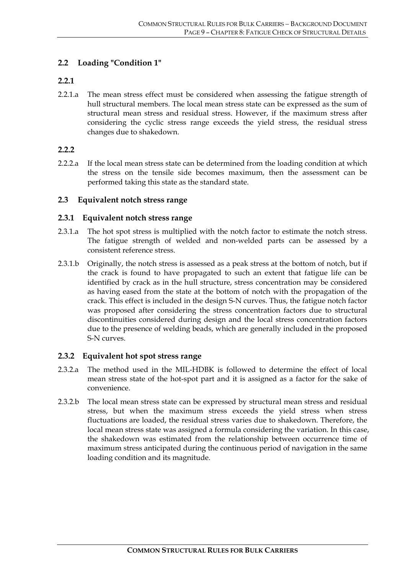## **2.2 Loading "Condition 1"**

#### **2.2.1**

2.2.1.a The mean stress effect must be considered when assessing the fatigue strength of hull structural members. The local mean stress state can be expressed as the sum of structural mean stress and residual stress. However, if the maximum stress after considering the cyclic stress range exceeds the yield stress, the residual stress changes due to shakedown.

#### **2.2.2**

2.2.2.a If the local mean stress state can be determined from the loading condition at which the stress on the tensile side becomes maximum, then the assessment can be performed taking this state as the standard state.

#### **2.3 Equivalent notch stress range**

#### **2.3.1 Equivalent notch stress range**

- 2.3.1.a The hot spot stress is multiplied with the notch factor to estimate the notch stress. The fatigue strength of welded and non-welded parts can be assessed by a consistent reference stress.
- 2.3.1.b Originally, the notch stress is assessed as a peak stress at the bottom of notch, but if the crack is found to have propagated to such an extent that fatigue life can be identified by crack as in the hull structure, stress concentration may be considered as having eased from the state at the bottom of notch with the propagation of the crack. This effect is included in the design S-N curves. Thus, the fatigue notch factor was proposed after considering the stress concentration factors due to structural discontinuities considered during design and the local stress concentration factors due to the presence of welding beads, which are generally included in the proposed S-N curves.

#### **2.3.2 Equivalent hot spot stress range**

- 2.3.2.a The method used in the MIL-HDBK is followed to determine the effect of local mean stress state of the hot-spot part and it is assigned as a factor for the sake of convenience.
- 2.3.2.b The local mean stress state can be expressed by structural mean stress and residual stress, but when the maximum stress exceeds the yield stress when stress fluctuations are loaded, the residual stress varies due to shakedown. Therefore, the local mean stress state was assigned a formula considering the variation. In this case, the shakedown was estimated from the relationship between occurrence time of maximum stress anticipated during the continuous period of navigation in the same loading condition and its magnitude.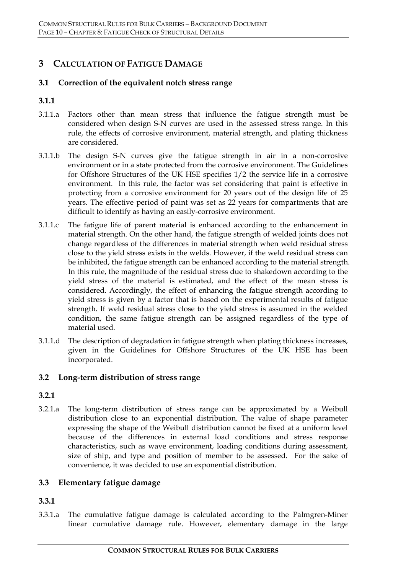## **3 CALCULATION OF FATIGUE DAMAGE**

#### **3.1 Correction of the equivalent notch stress range**

#### **3.1.1**

- 3.1.1.a Factors other than mean stress that influence the fatigue strength must be considered when design S-N curves are used in the assessed stress range. In this rule, the effects of corrosive environment, material strength, and plating thickness are considered.
- 3.1.1.b The design S-N curves give the fatigue strength in air in a non-corrosive environment or in a state protected from the corrosive environment. The Guidelines for Offshore Structures of the UK HSE specifies 1/2 the service life in a corrosive environment. In this rule, the factor was set considering that paint is effective in protecting from a corrosive environment for 20 years out of the design life of 25 years. The effective period of paint was set as 22 years for compartments that are difficult to identify as having an easily-corrosive environment.
- 3.1.1.c The fatigue life of parent material is enhanced according to the enhancement in material strength. On the other hand, the fatigue strength of welded joints does not change regardless of the differences in material strength when weld residual stress close to the yield stress exists in the welds. However, if the weld residual stress can be inhibited, the fatigue strength can be enhanced according to the material strength. In this rule, the magnitude of the residual stress due to shakedown according to the yield stress of the material is estimated, and the effect of the mean stress is considered. Accordingly, the effect of enhancing the fatigue strength according to yield stress is given by a factor that is based on the experimental results of fatigue strength. If weld residual stress close to the yield stress is assumed in the welded condition, the same fatigue strength can be assigned regardless of the type of material used.
- 3.1.1.d The description of degradation in fatigue strength when plating thickness increases, given in the Guidelines for Offshore Structures of the UK HSE has been incorporated.

#### **3.2 Long-term distribution of stress range**

#### **3.2.1**

3.2.1.a The long-term distribution of stress range can be approximated by a Weibull distribution close to an exponential distribution. The value of shape parameter expressing the shape of the Weibull distribution cannot be fixed at a uniform level because of the differences in external load conditions and stress response characteristics, such as wave environment, loading conditions during assessment, size of ship, and type and position of member to be assessed. For the sake of convenience, it was decided to use an exponential distribution.

## **3.3 Elementary fatigue damage**

## **3.3.1**

3.3.1.a The cumulative fatigue damage is calculated according to the Palmgren-Miner linear cumulative damage rule. However, elementary damage in the large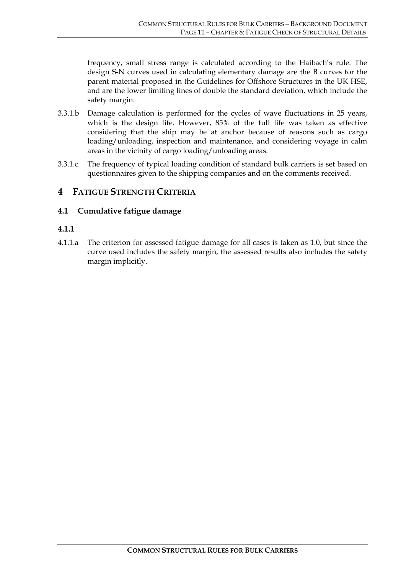frequency, small stress range is calculated according to the Haibach's rule. The design S-N curves used in calculating elementary damage are the B curves for the parent material proposed in the Guidelines for Offshore Structures in the UK HSE, and are the lower limiting lines of double the standard deviation, which include the safety margin.

- 3.3.1.b Damage calculation is performed for the cycles of wave fluctuations in 25 years, which is the design life. However, 85% of the full life was taken as effective considering that the ship may be at anchor because of reasons such as cargo loading/unloading, inspection and maintenance, and considering voyage in calm areas in the vicinity of cargo loading/unloading areas.
- 3.3.1.c The frequency of typical loading condition of standard bulk carriers is set based on questionnaires given to the shipping companies and on the comments received.

## **4 FATIGUE STRENGTH CRITERIA**

## **4.1 Cumulative fatigue damage**

## **4.1.1**

4.1.1.a The criterion for assessed fatigue damage for all cases is taken as 1.0, but since the curve used includes the safety margin, the assessed results also includes the safety margin implicitly.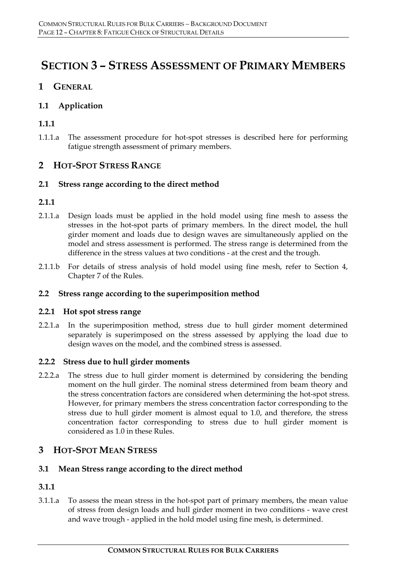## **SECTION 3 – STRESS ASSESSMENT OF PRIMARY MEMBERS**

## **1 GENERAL**

## **1.1 Application**

## **1.1.1**

1.1.1.a The assessment procedure for hot-spot stresses is described here for performing fatigue strength assessment of primary members.

## **2 HOT-SPOT STRESS RANGE**

## **2.1 Stress range according to the direct method**

## **2.1.1**

- 2.1.1.a Design loads must be applied in the hold model using fine mesh to assess the stresses in the hot-spot parts of primary members. In the direct model, the hull girder moment and loads due to design waves are simultaneously applied on the model and stress assessment is performed. The stress range is determined from the difference in the stress values at two conditions - at the crest and the trough.
- 2.1.1.b For details of stress analysis of hold model using fine mesh, refer to Section 4, Chapter 7 of the Rules.

#### **2.2 Stress range according to the superimposition method**

#### **2.2.1 Hot spot stress range**

2.2.1.a In the superimposition method, stress due to hull girder moment determined separately is superimposed on the stress assessed by applying the load due to design waves on the model, and the combined stress is assessed.

#### **2.2.2 Stress due to hull girder moments**

2.2.2.a The stress due to hull girder moment is determined by considering the bending moment on the hull girder. The nominal stress determined from beam theory and the stress concentration factors are considered when determining the hot-spot stress. However, for primary members the stress concentration factor corresponding to the stress due to hull girder moment is almost equal to 1.0, and therefore, the stress concentration factor corresponding to stress due to hull girder moment is considered as 1.0 in these Rules.

## **3 HOT-SPOT MEAN STRESS**

## **3.1 Mean Stress range according to the direct method**

## **3.1.1**

3.1.1.a To assess the mean stress in the hot-spot part of primary members, the mean value of stress from design loads and hull girder moment in two conditions - wave crest and wave trough - applied in the hold model using fine mesh, is determined.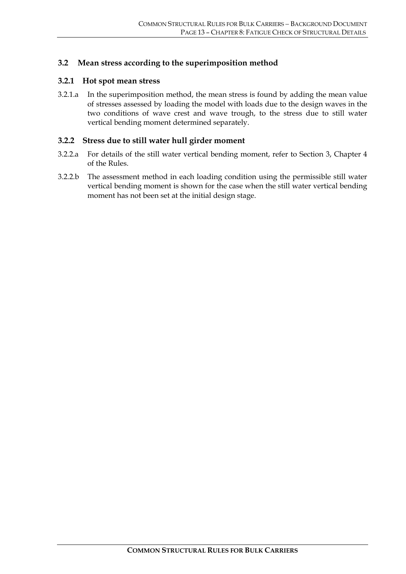#### **3.2 Mean stress according to the superimposition method**

#### **3.2.1 Hot spot mean stress**

3.2.1.a In the superimposition method, the mean stress is found by adding the mean value of stresses assessed by loading the model with loads due to the design waves in the two conditions of wave crest and wave trough, to the stress due to still water vertical bending moment determined separately.

#### **3.2.2 Stress due to still water hull girder moment**

- 3.2.2.a For details of the still water vertical bending moment, refer to Section 3, Chapter 4 of the Rules.
- 3.2.2.b The assessment method in each loading condition using the permissible still water vertical bending moment is shown for the case when the still water vertical bending moment has not been set at the initial design stage.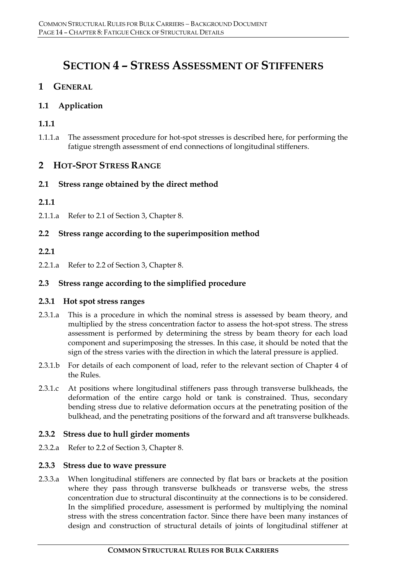## **SECTION 4 – STRESS ASSESSMENT OF STIFFENERS**

## **1 GENERAL**

## **1.1 Application**

## **1.1.1**

1.1.1.a The assessment procedure for hot-spot stresses is described here, for performing the fatigue strength assessment of end connections of longitudinal stiffeners.

## **2 HOT-SPOT STRESS RANGE**

## **2.1 Stress range obtained by the direct method**

## **2.1.1**

2.1.1.a Refer to 2.1 of Section 3, Chapter 8.

## **2.2 Stress range according to the superimposition method**

## **2.2.1**

2.2.1.a Refer to 2.2 of Section 3, Chapter 8.

## **2.3 Stress range according to the simplified procedure**

#### **2.3.1 Hot spot stress ranges**

- 2.3.1.a This is a procedure in which the nominal stress is assessed by beam theory, and multiplied by the stress concentration factor to assess the hot-spot stress. The stress assessment is performed by determining the stress by beam theory for each load component and superimposing the stresses. In this case, it should be noted that the sign of the stress varies with the direction in which the lateral pressure is applied.
- 2.3.1.b For details of each component of load, refer to the relevant section of Chapter 4 of the Rules.
- 2.3.1.c At positions where longitudinal stiffeners pass through transverse bulkheads, the deformation of the entire cargo hold or tank is constrained. Thus, secondary bending stress due to relative deformation occurs at the penetrating position of the bulkhead, and the penetrating positions of the forward and aft transverse bulkheads.

#### **2.3.2 Stress due to hull girder moments**

2.3.2.a Refer to 2.2 of Section 3, Chapter 8.

#### **2.3.3 Stress due to wave pressure**

2.3.3.a When longitudinal stiffeners are connected by flat bars or brackets at the position where they pass through transverse bulkheads or transverse webs, the stress concentration due to structural discontinuity at the connections is to be considered. In the simplified procedure, assessment is performed by multiplying the nominal stress with the stress concentration factor. Since there have been many instances of design and construction of structural details of joints of longitudinal stiffener at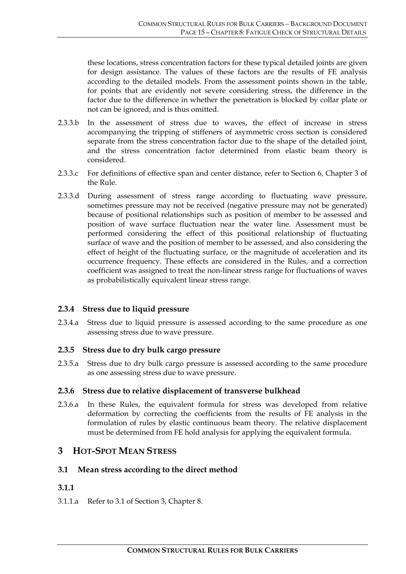these locations, stress concentration factors for these typical detailed joints are given for design assistance. The values of these factors are the results of FE analysis according to the detailed models. From the assessment points shown in the table, for points that are evidently not severe considering stress, the difference in the factor due to the difference in whether the penetration is blocked by collar plate or not can be ignored, and is thus omitted.

- 2.3.3.b In the assessment of stress due to waves, the effect of increase in stress accompanying the tripping of stiffeners of asymmetric cross section is considered separate from the stress concentration factor due to the shape of the detailed joint, and the stress concentration factor determined from elastic beam theory is considered.
- 2.3.3.c For definitions of effective span and center distance, refer to Section 6, Chapter 3 of the Rule.
- 2.3.3.d During assessment of stress range according to fluctuating wave pressure, sometimes pressure may not be received (negative pressure may not be generated) because of positional relationships such as position of member to be assessed and position of wave surface fluctuation near the water line. Assessment must be performed considering the effect of this positional relationship of fluctuating surface of wave and the position of member to be assessed, and also considering the effect of height of the fluctuating surface, or the magnitude of acceleration and its occurrence frequency. These effects are considered in the Rules, and a correction coefficient was assigned to treat the non-linear stress range for fluctuations of waves as probabilistically equivalent linear stress range.

#### **2.3.4 Stress due to liquid pressure**

2.3.4.a Stress due to liquid pressure is assessed according to the same procedure as one assessing stress due to wave pressure.

#### **2.3.5 Stress due to dry bulk cargo pressure**

2.3.5.a Stress due to dry bulk cargo pressure is assessed according to the same procedure as one assessing stress due to wave pressure.

#### **2.3.6 Stress due to relative displacement of transverse bulkhead**

2.3.6.a In these Rules, the equivalent formula for stress was developed from relative deformation by correcting the coefficients from the results of FE analysis in the formulation of rules by elastic continuous beam theory. The relative displacement must be determined from FE hold analysis for applying the equivalent formula.

## **3 HOT-SPOT MEAN STRESS**

#### **3.1 Mean stress according to the direct method**

#### **3.1.1**

3.1.1.a Refer to 3.1 of Section 3, Chapter 8.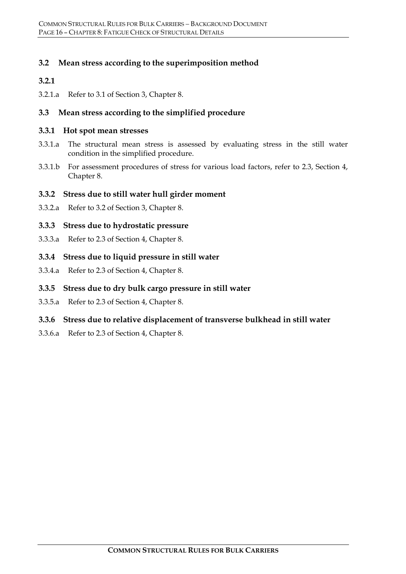## **3.2 Mean stress according to the superimposition method**

#### **3.2.1**

3.2.1.a Refer to 3.1 of Section 3, Chapter 8.

#### **3.3 Mean stress according to the simplified procedure**

#### **3.3.1 Hot spot mean stresses**

- 3.3.1.a The structural mean stress is assessed by evaluating stress in the still water condition in the simplified procedure.
- 3.3.1.b For assessment procedures of stress for various load factors, refer to 2.3, Section 4, Chapter 8.

#### **3.3.2 Stress due to still water hull girder moment**

3.3.2.a Refer to 3.2 of Section 3, Chapter 8.

#### **3.3.3 Stress due to hydrostatic pressure**

3.3.3.a Refer to 2.3 of Section 4, Chapter 8.

#### **3.3.4 Stress due to liquid pressure in still water**

3.3.4.a Refer to 2.3 of Section 4, Chapter 8.

#### **3.3.5 Stress due to dry bulk cargo pressure in still water**

3.3.5.a Refer to 2.3 of Section 4, Chapter 8.

#### **3.3.6 Stress due to relative displacement of transverse bulkhead in still water**

3.3.6.a Refer to 2.3 of Section 4, Chapter 8.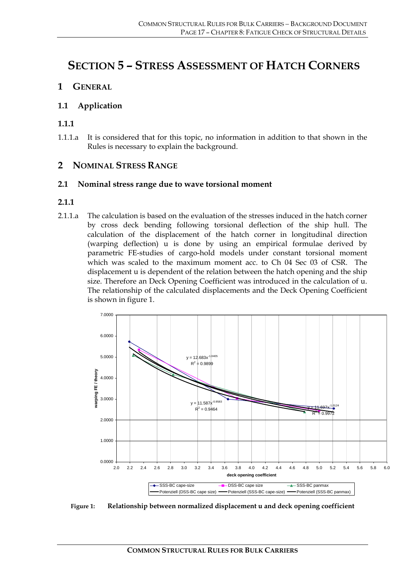## **SECTION 5 – STRESS ASSESSMENT OF HATCH CORNERS**

## **1 GENERAL**

## **1.1 Application**

#### **1.1.1**

1.1.1.a It is considered that for this topic, no information in addition to that shown in the Rules is necessary to explain the background.

## **2 NOMINAL STRESS RANGE**

#### **2.1 Nominal stress range due to wave torsional moment**

#### **2.1.1**

2.1.1.a The calculation is based on the evaluation of the stresses induced in the hatch corner by cross deck bending following torsional deflection of the ship hull. The calculation of the displacement of the hatch corner in longitudinal direction (warping deflection) u is done by using an empirical formulae derived by parametric FE-studies of cargo-hold models under constant torsional moment which was scaled to the maximum moment acc. to Ch 04 Sec 03 of CSR. The displacement u is dependent of the relation between the hatch opening and the ship size. Therefore an Deck Opening Coefficient was introduced in the calculation of u. The relationship of the calculated displacements and the Deck Opening Coefficient is shown in figure 1.



**Figure 1: Relationship between normalized displacement u and deck opening coefficient**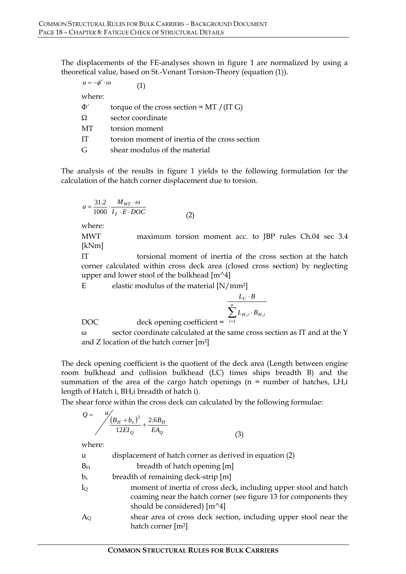The displacements of the FE-analyses shown in figure 1 are normalized by using a theoretical value, based on St.-Venant Torsion-Theory (equation (1)).

 $u = -\phi' \cdot \omega$  (1)

where:

| Φ′ | torque of the cross section = $MT / (IT G)$    |
|----|------------------------------------------------|
| Ω  | sector coordinate                              |
| MТ | torsion moment                                 |
| IТ | torsion moment of inertia of the cross section |
| G  | shear modulus of the material                  |

The analysis of the results in figure 1 yields to the following formulation for the calculation of the hatch corner displacement due to torsion.

$$
u = \frac{31.2}{1000} \cdot \frac{M_{WT} \cdot \omega}{I_T \cdot E \cdot DOC}
$$

$$
(2)
$$

where:

MWT maximum torsion moment acc. to JBP rules Ch.04 sec 3.4 [kNm]

IT torsional moment of inertia of the cross section at the hatch corner calculated within cross deck area (closed cross section) by neglecting upper and lower stool of the bulkhead  $[m^4]$ 

E elastic modulus of the material  $[N/mm^2]$ 

$$
\frac{L_C \cdot B}{\sum_{i=1}^n L_{H,i} \cdot B_{H,i}}
$$

(3)

DOC deck opening coefficient = *i*

ω sector coordinate calculated at the same cross section as IT and at the Y and Z location of the hatch corner  $[m^2]$ 

The deck opening coefficient is the quotient of the deck area (Length between engine room bulkhead and collision bulkhead (LC) times ships breadth B) and the summation of the area of the cargo hatch openings (n = number of hatches, LH,i length of Hatch i, BH,i breadth of hatch i).

The shear force within the cross deck can calculated by the following formulae:

$$
Q = \frac{u}{\sqrt{\frac{(B_H + B_s)^3}{12EI_Q} + \frac{2.6B_H}{EA_Q}}}
$$

where:

| u                 | displacement of hatch corner as derived in equation (2)                                                                                                               |
|-------------------|-----------------------------------------------------------------------------------------------------------------------------------------------------------------------|
| $B_{H}$           | breadth of hatch opening [m]                                                                                                                                          |
| $b_s$             | breadth of remaining deck-strip [m]                                                                                                                                   |
| ${\rm I_{\rm Q}}$ | moment of inertia of cross deck, including upper stool and hatch<br>coaming near the hatch corner (see figure 13 for components they<br>should be considered) $[m^4]$ |
| Ao                | shear area of cross deck section, including upper stool near the<br>hatch corner $[m^2]$                                                                              |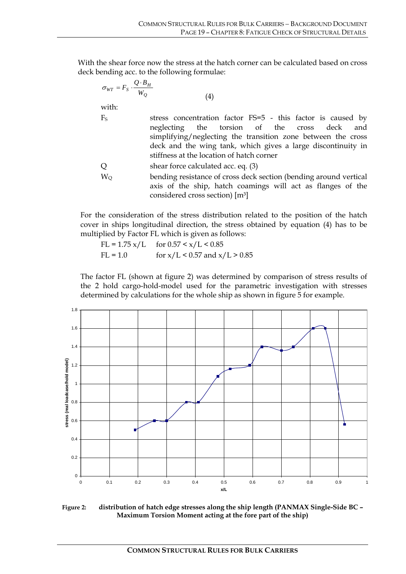With the shear force now the stress at the hatch corner can be calculated based on cross deck bending acc. to the following formulae:

(4)

$$
\sigma_{WT} = F_S \cdot \frac{Q \cdot B_H}{W_Q}
$$

with:

- F<sub>S</sub> stress concentration factor FS=5 this factor is caused by neglecting the torsion of the cross deck and simplifying/neglecting the transition zone between the cross deck and the wing tank, which gives a large discontinuity in stiffness at the location of hatch corner Q shear force calculated acc. eq. (3) W<sub>O</sub> bending resistance of cross deck section (bending around vertical
	- axis of the ship, hatch coamings will act as flanges of the considered cross section) [m³]

For the consideration of the stress distribution related to the position of the hatch cover in ships longitudinal direction, the stress obtained by equation (4) has to be multiplied by Factor FL which is given as follows:

 $FL = 1.75 \times / L$  for  $0.57 \le x / L \le 0.85$ FL = 1.0 for  $x/L < 0.57$  and  $x/L > 0.85$ 

The factor FL (shown at figure 2) was determined by comparison of stress results of the 2 hold cargo-hold-model used for the parametric investigation with stresses determined by calculations for the whole ship as shown in figure 5 for example.



**Figure 2: distribution of hatch edge stresses along the ship length (PANMAX Single-Side BC – Maximum Torsion Moment acting at the fore part of the ship)**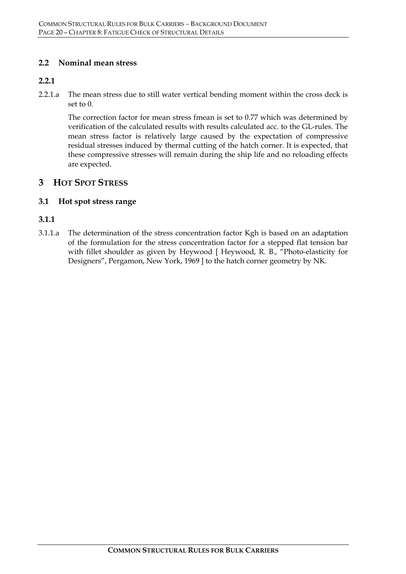#### **2.2 Nominal mean stress**

#### **2.2.1**

2.2.1.a The mean stress due to still water vertical bending moment within the cross deck is set to 0.

The correction factor for mean stress fmean is set to 0.77 which was determined by verification of the calculated results with results calculated acc. to the GL-rules. The mean stress factor is relatively large caused by the expectation of compressive residual stresses induced by thermal cutting of the hatch corner. It is expected, that these compressive stresses will remain during the ship life and no reloading effects are expected.

## **3 HOT SPOT STRESS**

## **3.1 Hot spot stress range**

## **3.1.1**

3.1.1.a The determination of the stress concentration factor Kgh is based on an adaptation of the formulation for the stress concentration factor for a stepped flat tension bar with fillet shoulder as given by Heywood [ Heywood, R. B., "Photo-elasticity for Designers", Pergamon, New York, 1969 ] to the hatch corner geometry by NK.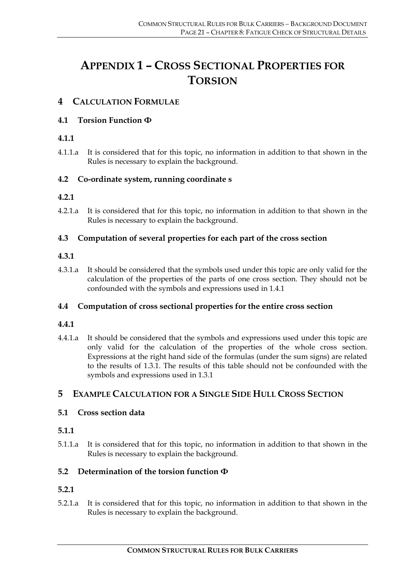## **APPENDIX 1 – CROSS SECTIONAL PROPERTIES FOR TORSION**

## **4 CALCULATION FORMULAE**

## **4.1 Torsion Function Φ**

## **4.1.1**

4.1.1.a It is considered that for this topic, no information in addition to that shown in the Rules is necessary to explain the background.

## **4.2 Co-ordinate system, running coordinate s**

## **4.2.1**

4.2.1.a It is considered that for this topic, no information in addition to that shown in the Rules is necessary to explain the background.

## **4.3 Computation of several properties for each part of the cross section**

## **4.3.1**

4.3.1.a It should be considered that the symbols used under this topic are only valid for the calculation of the properties of the parts of one cross section. They should not be confounded with the symbols and expressions used in 1.4.1

## **4.4 Computation of cross sectional properties for the entire cross section**

## **4.4.1**

4.4.1.a It should be considered that the symbols and expressions used under this topic are only valid for the calculation of the properties of the whole cross section. Expressions at the right hand side of the formulas (under the sum signs) are related to the results of 1.3.1. The results of this table should not be confounded with the symbols and expressions used in 1.3.1

## **5 EXAMPLE CALCULATION FOR A SINGLE SIDE HULL CROSS SECTION**

## **5.1 Cross section data**

## **5.1.1**

5.1.1.a It is considered that for this topic, no information in addition to that shown in the Rules is necessary to explain the background.

## **5.2 Determination of the torsion function Φ**

## **5.2.1**

5.2.1.a It is considered that for this topic, no information in addition to that shown in the Rules is necessary to explain the background.